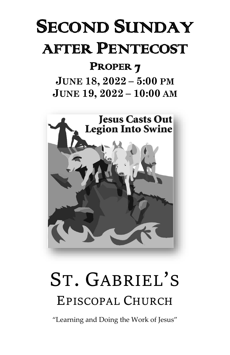# SECOND SUNDAY AFTER PENTECOST

## PROPER<sub>7</sub>

## **JUNE 18, 2022 – 5:00 PM JUNE 19, 2022 – 10:00 AM**



# **ST. GABRIEL'S EPISCOPAL CHURCH**

"Learning and Doing the Work of Jesus"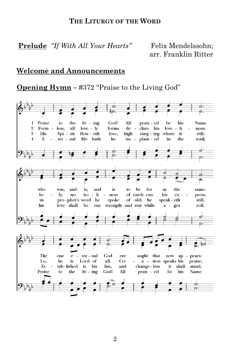#### **THE LITURGY OF THE WORD**

Prelude *"If With All Your Hearts"* Felix Mendelssohn;

arr. Franklin Ritter

#### **Welcome and Announcements**

**Opening Hymn –** #372 "Praise to the Living God"

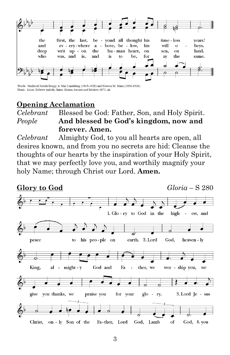

Words: Medieval Jewish liturgy; tr. Max Landsberg (1845-1928) and Newton M. Mann (1836-1926) Music: Leoni, Hebrew melody; harm. Hymns Ancient and Modern, 1875, alt.

#### **Opening Acclamation**

#### *Celebrant* Blessed be God: Father, Son, and Holy Spirit. *People* **And blessed be God's kingdom, now and forever. Amen.**

*Celebrant* Almighty God, to you all hearts are open, all desires known, and from you no secrets are hid: Cleanse the thoughts of our hearts by the inspiration of your Holy Spirit, that we may perfectly love you, and worthily magnify your holy Name; through Christ our Lord. **Amen.**

#### **Glory to God** *Gloria* – S 2801. Glo-ry to God in the high est, and earth. 2. Lord peace to his peo-ple on God, heaven - ly King. al - might - y God and Fa ther, we wor - ship you, we give you thanks, we praise you for your glo - ry. 3. Lord Je - sus Christ, on - ly Son of the Fa-ther, Lord God, Lamb  $\sigma$ God, 4. you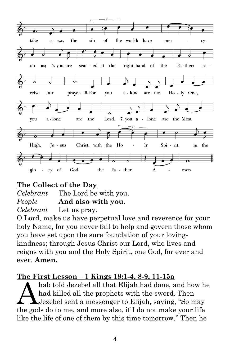

#### **The Collect of the Day**

*Celebrant* The Lord be with you. *People* **And also with you.**  *Celebrant* Let us pray.

O Lord, make us have perpetual love and reverence for your holy Name, for you never fail to help and govern those whom you have set upon the sure foundation of your lovingkindness; through Jesus Christ our Lord, who lives and reigns with you and the Holy Spirit, one God, for ever and ever. **Amen.**

#### **The First Lesson – 1 Kings 19:1-4, 8-9, 11-15a**

hab told Jezebel all that Elijah had done, and how he had killed all the prophets with the sword. Then Jezebel sent a messenger to Elijah, saying, "So may the gods do to me, and more also, if I do not make your life like the life of one of them by this time tomorrow." Then he A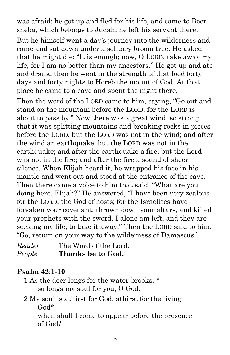was afraid; he got up and fled for his life, and came to Beersheba, which belongs to Judah; he left his servant there.

But he himself went a day's journey into the wilderness and came and sat down under a solitary broom tree. He asked that he might die: "It is enough; now, O LORD, take away my life, for I am no better than my ancestors." He got up and ate and drank; then he went in the strength of that food forty days and forty nights to Horeb the mount of God. At that place he came to a cave and spent the night there.

Then the word of the LORD came to him, saying, "Go out and stand on the mountain before the LORD, for the LORD is about to pass by." Now there was a great wind, so strong that it was splitting mountains and breaking rocks in pieces before the LORD, but the LORD was not in the wind; and after the wind an earthquake, but the LORD was not in the earthquake; and after the earthquake a fire, but the Lord was not in the fire; and after the fire a sound of sheer silence. When Elijah heard it, he wrapped his face in his mantle and went out and stood at the entrance of the cave. Then there came a voice to him that said, "What are you doing here, Elijah?" He answered, "I have been very zealous for the LORD, the God of hosts; for the Israelites have forsaken your covenant, thrown down your altars, and killed your prophets with the sword. I alone am left, and they are seeking my life, to take it away." Then the LORD said to him, "Go, return on your way to the wilderness of Damascus."

| Reader | The Word of the Lord. |
|--------|-----------------------|
| People | Thanks be to God.     |

#### **Psalm 42:1-10**

- 1 As the deer longs for the water-brooks, \* so longs my soul for you, O God.
- 2 My soul is athirst for God, athirst for the living God\* when shall I come to appear before the presence of God?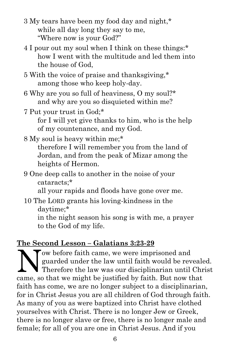- 3 My tears have been my food day and night,\* while all day long they say to me, "Where now is your God?"
- 4 I pour out my soul when I think on these things:\* how I went with the multitude and led them into the house of God,
- 5 With the voice of praise and thanksgiving,\* among those who keep holy-day.
- 6 Why are you so full of heaviness, O my soul?\* and why are you so disquieted within me?
- 7 Put your trust in God;\* for I will yet give thanks to him, who is the help of my countenance, and my God.
- 8 My soul is heavy within me;\* therefore I will remember you from the land of Jordan, and from the peak of Mizar among the heights of Hermon.
- 9 One deep calls to another in the noise of your cataracts;\*

all your rapids and floods have gone over me.

10 The LORD grants his loving-kindness in the daytime;\*

in the night season his song is with me, a prayer to the God of my life.

## **The Second Lesson – Galatians 3:23-29**

ow before faith came, we were imprisoned and guarded under the law until faith would be revealed. Therefore the law was our disciplinarian until Christ came, so that we might be justified by faith. But now that faith has come, we are no longer subject to a disciplinarian, for in Christ Jesus you are all children of God through faith. As many of you as were baptized into Christ have clothed yourselves with Christ. There is no longer Jew or Greek, there is no longer slave or free, there is no longer male and female; for all of you are one in Christ Jesus. And if you N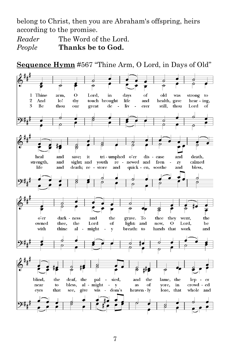belong to Christ, then you are Abraham's offspring, heirs according to the promise.

*Reader* The Word of the Lord. *People* **Thanks be to God.**

**Sequence Hymn** #567 "Thine Arm, O Lord, in Days of Old"

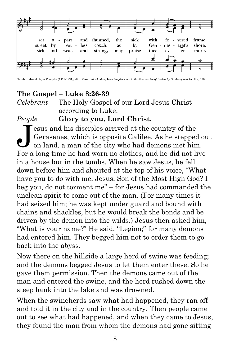

Words: Edward Hayes Plumptre (1821-1891), alt. Music: St. Matthew, from Supplemental to the New Version of Psalms by Dr. Brady and Mr. Tate, 1708

### **The Gospel – Luke 8:26-39**

*Celebrant* The Holy Gospel of our Lord Jesus Christ according to Luke.

#### *People* **Glory to you, Lord Christ.**

esus and his disciples arrived at the country of the Gerasenes, which is opposite Galilee. As he stepped out on land, a man of the city who had demons met him. For a long time he had worn no clothes, and he did not live in a house but in the tombs. When he saw Jesus, he fell down before him and shouted at the top of his voice, "What have you to do with me, Jesus, Son of the Most High God? I beg you, do not torment me" – for Jesus had commanded the unclean spirit to come out of the man. (For many times it had seized him; he was kept under guard and bound with chains and shackles, but he would break the bonds and be driven by the demon into the wilds.) Jesus then asked him, "What is your name?" He said, "Legion;" for many demons had entered him. They begged him not to order them to go back into the abyss.  $\dot{\mathbf{J}}$ 

Now there on the hillside a large herd of swine was feeding; and the demons begged Jesus to let them enter these. So he gave them permission. Then the demons came out of the man and entered the swine, and the herd rushed down the steep bank into the lake and was drowned.

When the swineherds saw what had happened, they ran off and told it in the city and in the country. Then people came out to see what had happened, and when they came to Jesus, they found the man from whom the demons had gone sitting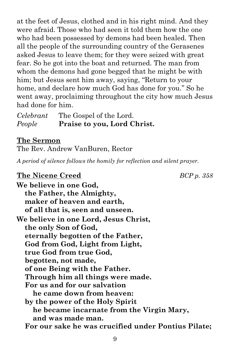at the feet of Jesus, clothed and in his right mind. And they were afraid. Those who had seen it told them how the one who had been possessed by demons had been healed. Then all the people of the surrounding country of the Gerasenes asked Jesus to leave them; for they were seized with great fear. So he got into the boat and returned. The man from whom the demons had gone begged that he might be with him; but Jesus sent him away, saying, "Return to your home, and declare how much God has done for you." So he went away, proclaiming throughout the city how much Jesus had done for him.

*Celebrant* The Gospel of the Lord. *People* **Praise to you, Lord Christ.**

#### **The Sermon**

The Rev. Andrew VanBuren, Rector

*A period of silence follows the homily for reflection and silent prayer.*

## **The Nicene Creed** *BCP p. 358*

**We believe in one God, the Father, the Almighty, maker of heaven and earth, of all that is, seen and unseen. We believe in one Lord, Jesus Christ, the only Son of God, eternally begotten of the Father, God from God, Light from Light, true God from true God, begotten, not made, of one Being with the Father. Through him all things were made. For us and for our salvation he came down from heaven: by the power of the Holy Spirit he became incarnate from the Virgin Mary, and was made man. For our sake he was crucified under Pontius Pilate;**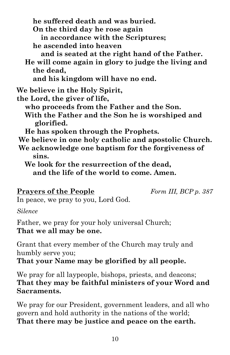**he suffered death and was buried. On the third day he rose again in accordance with the Scriptures; he ascended into heaven and is seated at the right hand of the Father. He will come again in glory to judge the living and the dead, and his kingdom will have no end. We believe in the Holy Spirit, the Lord, the giver of life,**

 **who proceeds from the Father and the Son. With the Father and the Son he is worshiped and glorified.**

 **He has spoken through the Prophets.**

**We believe in one holy catholic and apostolic Church.** 

**We acknowledge one baptism for the forgiveness of sins.**

 **We look for the resurrection of the dead, and the life of the world to come. Amen.**

#### **Prayers of the People** *Form III, BCP p. 387*

In peace, we pray to you, Lord God.

#### *Silence*

Father, we pray for your holy universal Church; **That we all may be one.**

Grant that every member of the Church may truly and humbly serve you;

**That your Name may be glorified by all people.**

We pray for all laypeople, bishops, priests, and deacons; **That they may be faithful ministers of your Word and Sacraments.**

We pray for our President, government leaders, and all who govern and hold authority in the nations of the world; **That there may be justice and peace on the earth.**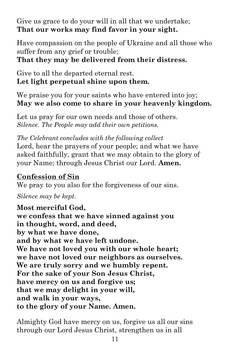Give us grace to do your will in all that we undertake; **That our works may find favor in your sight.**

Have compassion on the people of Ukraine and all those who suffer from any grief or trouble;

**That they may be delivered from their distress.**

Give to all the departed eternal rest. **Let light perpetual shine upon them.**

We praise you for your saints who have entered into joy; **May we also come to share in your heavenly kingdom.**

Let us pray for our own needs and those of others. *Silence. The People may add their own petitions.*

*The Celebrant concludes with the following collect* Lord, hear the prayers of your people; and what we have asked faithfully, grant that we may obtain to the glory of your Name; through Jesus Christ our Lord. **Amen.**

#### **Confession of Sin**

We pray to you also for the forgiveness of our sins.

*Silence may be kept.*

**Most merciful God, we confess that we have sinned against you in thought, word, and deed, by what we have done, and by what we have left undone. We have not loved you with our whole heart; we have not loved our neighbors as ourselves. We are truly sorry and we humbly repent. For the sake of your Son Jesus Christ, have mercy on us and forgive us; that we may delight in your will, and walk in your ways, to the glory of your Name. Amen.**

Almighty God have mercy on us, forgive us all our sins through our Lord Jesus Christ, strengthen us in all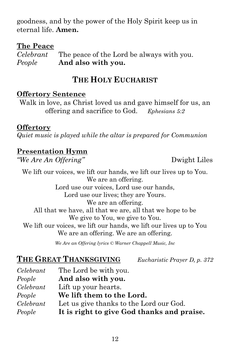goodness, and by the power of the Holy Spirit keep us in eternal life. **Amen.**

#### **The Peace**

*Celebrant* The peace of the Lord be always with you. *People* **And also with you.**

## **THE HOLY EUCHARIST**

#### **Offertory Sentence**

Walk in love, as Christ loved us and gave himself for us, an offering and sacrifice to God. *Ephesians 5:2*

#### **Offertory**

*Quiet music is played while the altar is prepared for Communion*

#### **Presentation Hymn**

*"We Are An Offering"* Dwight Liles

We lift our voices, we lift our hands, we lift our lives up to You. We are an offering. Lord use our voices, Lord use our hands, Lord use our lives; they are Yours. We are an offering. All that we have, all that we are, all that we hope to be We give to You, we give to You. We lift our voices, we lift our hands, we lift our lives up to You We are an offering. We are an offering.

*We Are an Offering lyrics © Warner Chappell Music, Inc*

## **THE GREAT THANKSGIVING** *Eucharistic Prayer D, p. 372*

| Celebrant | The Lord be with you.                      |
|-----------|--------------------------------------------|
| People    | And also with you.                         |
| Celebrant | Lift up your hearts.                       |
| People    | We lift them to the Lord.                  |
| Celebrant | Let us give thanks to the Lord our God.    |
| People    | It is right to give God thanks and praise. |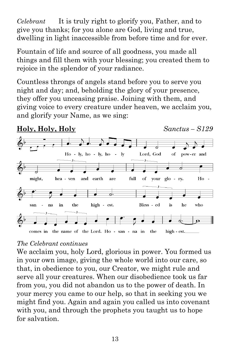*Celebrant* It is truly right to glorify you, Father, and to give you thanks; for you alone are God, living and true, dwelling in light inaccessible from before time and for ever.

Fountain of life and source of all goodness, you made all things and fill them with your blessing; you created them to rejoice in the splendor of your radiance.

Countless throngs of angels stand before you to serve you night and day; and, beholding the glory of your presence, they offer you unceasing praise. Joining with them, and giving voice to every creature under heaven, we acclaim you, and glorify your Name, as we sing:

#### **Holy, Holy, Holy** *Sanctus – S129*



#### *The Celebrant continues*

We acclaim you, holy Lord, glorious in power. You formed us in your own image, giving the whole world into our care, so that, in obedience to you, our Creator, we might rule and serve all your creatures. When our disobedience took us far from you, you did not abandon us to the power of death. In your mercy you came to our help, so that in seeking you we might find you. Again and again you called us into covenant with you, and through the prophets you taught us to hope for salvation.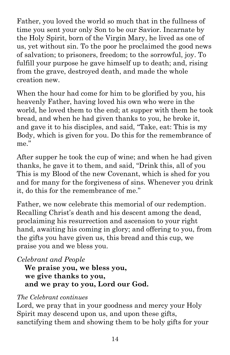Father, you loved the world so much that in the fullness of time you sent your only Son to be our Savior. Incarnate by the Holy Spirit, born of the Virgin Mary, he lived as one of us, yet without sin. To the poor he proclaimed the good news of salvation; to prisoners, freedom; to the sorrowful, joy. To fulfill your purpose he gave himself up to death; and, rising from the grave, destroyed death, and made the whole creation new.

When the hour had come for him to be glorified by you, his heavenly Father, having loved his own who were in the world, he loved them to the end; at supper with them he took bread, and when he had given thanks to you, he broke it, and gave it to his disciples, and said, "Take, eat: This is my Body, which is given for you. Do this for the remembrance of me."

After supper he took the cup of wine; and when he had given thanks, he gave it to them, and said, "Drink this, all of you This is my Blood of the new Covenant, which is shed for you and for many for the forgiveness of sins. Whenever you drink it, do this for the remembrance of me."

Father, we now celebrate this memorial of our redemption. Recalling Christ's death and his descent among the dead, proclaiming his resurrection and ascension to your right hand, awaiting his coming in glory; and offering to you, from the gifts you have given us, this bread and this cup, we praise you and we bless you.

#### *Celebrant and People*

 **We praise you, we bless you, we give thanks to you, and we pray to you, Lord our God.**

#### *The Celebrant continues*

Lord, we pray that in your goodness and mercy your Holy Spirit may descend upon us, and upon these gifts, sanctifying them and showing them to be holy gifts for your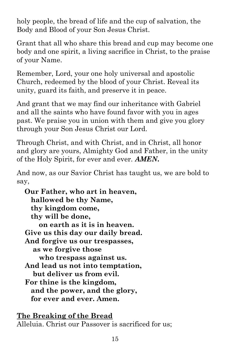holy people, the bread of life and the cup of salvation, the Body and Blood of your Son Jesus Christ.

Grant that all who share this bread and cup may become one body and one spirit, a living sacrifice in Christ, to the praise of your Name.

Remember, Lord, your one holy universal and apostolic Church, redeemed by the blood of your Christ. Reveal its unity, guard its faith, and preserve it in peace.

And grant that we may find our inheritance with Gabriel and all the saints who have found favor with you in ages past. We praise you in union with them and give you glory through your Son Jesus Christ our Lord.

Through Christ, and with Christ, and in Christ, all honor and glory are yours, Almighty God and Father, in the unity of the Holy Spirit, for ever and ever. *AMEN.*

And now, as our Savior Christ has taught us, we are bold to say,

 **Our Father, who art in heaven, hallowed be thy Name, thy kingdom come, thy will be done, on earth as it is in heaven. Give us this day our daily bread. And forgive us our trespasses, as we forgive those who trespass against us. And lead us not into temptation, but deliver us from evil. For thine is the kingdom, and the power, and the glory, for ever and ever. Amen.** 

**The Breaking of the Bread** Alleluia. Christ our Passover is sacrificed for us;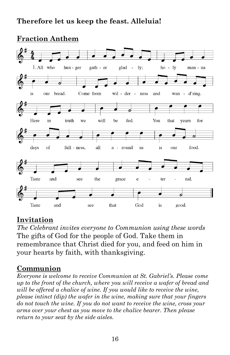### **Therefore let us keep the feast. Alleluia!**

#### 1. All who hun - ger gath - er glad lv:  $ho - ly$  $\sim$ man - na is our bread. Come from wil - der - ness and wan - d'ring. o Here will in truth we be fed. You that yearn for days all food. of full - ness,  $\mathbf{a}$ round us  $\mathbf{1}\mathbf{S}$ our  $\overline{a}$ Taste and see the grace e ter nal. ø 6 Taste and that God see is good.

#### **Fraction Anthem**

#### **Invitation**

*The Celebrant invites everyone to Communion using these words* The gifts of God for the people of God. Take them in remembrance that Christ died for you, and feed on him in your hearts by faith, with thanksgiving.

#### **Communion**

*Everyone is welcome to receive Communion at St. Gabriel's. Please come up to the front of the church, where you will receive a wafer of bread and will be offered a chalice of wine. If you would like to receive the wine, please intinct (dip) the wafer in the wine, making sure that your fingers do not touch the wine. If you do not want to receive the wine, cross your arms over your chest as you move to the chalice bearer. Then please return to your seat by the side aisles.*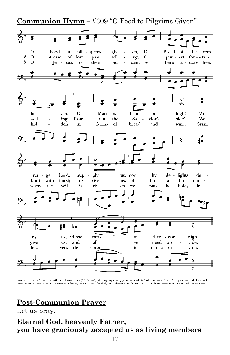**Communion Hymn –** #309 "O Food to Pilgrims Given"



Words: Latin, 1661; tr. John Athelstan Laurie Riley (1858-1945), alt. Copyright @ by permission of Oxford University Press. All rights reserved. Used with permission. Music: O Welt, ich muss dich lassen, present form of melody att. Heinrich Isaac (1450?-1517), alt.; harm. Johann Sebastian Bach (1685-1750)

## **Post-Communion Prayer**

Let us pray.

#### **Eternal God, heavenly Father, you have graciously accepted us as living members**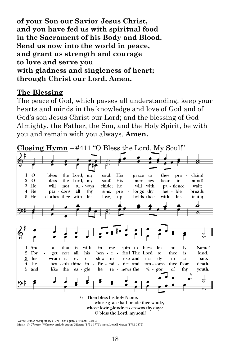**of your Son our Savior Jesus Christ, and you have fed us with spiritual food in the Sacrament of his Body and Blood. Send us now into the world in peace, and grant us strength and courage to love and serve you with gladness and singleness of heart; through Christ our Lord. Amen.**

#### **The Blessing**

The peace of God, which passes all understanding, keep your hearts and minds in the knowledge and love of God and of God's son Jesus Christ our Lord; and the blessing of God Almighty, the Father, the Son, and the Holy Spirit, be with you and remain with you always. **Amen.** 

**Closing Hymn** – #411 "O Bless the Lord, My Soul!" $\Omega$ bless grace to thee pro 1 the Lord, my soul! His L. claim! Lord, my  $\overline{2}$  $\Omega$ bless soul! His bear mind! the mer - cies in 3 He will not al - ways chide: he will with pa - tience wait: 4 He thy longs thy fee - ble breath; par - dons all sins, pro  $5$  He clothes thee with his love, holds thee with his truth; up <u>d</u>. ο. And that his ho - lv Name! 1 all with - in  $me$ join to bless is 2 For get not aЩ his ben  $e$ fits! The Lord to thee is kind. 3 his wrath is slow rise and rea - dy to bate. ev - er to ā  $\overline{4}$ he heal eth thine in ä,  $fir$ mi ties and ran - soms thee from death. and like the gle he news the vi - gor thy youth. 5 ea re  $\sim$ of 6 Then bless his holy Name, whose grace hath made thee whole, whose loving-kindness crowns thy days: O bless the Lord, my soul!

Words: James Montgomery (1771-1854); para. of Psalm 103:1-5 Music: St. Thomas (Williams), melody Aaron Williams (1731-1776); harm. Lowell Mason (1792-1872)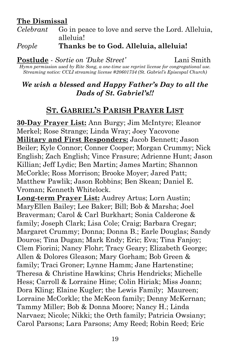#### **The Dismissal**

*Celebrant* Go in peace to love and serve the Lord. Alleluia, alleluia!

#### *People* **Thanks be to God. Alleluia, alleluia!**

**Postlude** - *Sortie on 'Duke Street'* Lani Smith

*Hymn permission used by Rite Song, a one-time use reprint license for congregational use. Streaming notice: CCLI streaming license #20601734 (St. Gabriel's Episcopal Church)*

#### *We wish a blessed and Happy Father's Day to all the Dads of St. Gabriel's!!*

## **ST. GABRIEL'S PARISH PRAYER LIST**

**30-Day Prayer List:** Ann Burgy; Jim McIntyre; Eleanor Merkel; Rose Strange; Linda Wray; Joey Yacovone **Military and First Responders:** Jacob Bennett; Jason Beiler; Kyle Connor; Conner Cooper; Morgan Crummy; Nick English; Zach English; Vince Frasure; Adrienne Hunt; Jason Killian; Jeff Lydic; Ben Martin; James Martin; Shannon McCorkle; Ross Morrison; Brooke Moyer; Jared Patt; Matthew Pawlik; Jason Robbins; Ben Skean; Daniel E. Vroman; Kenneth Whitelock.

**Long-term Prayer List:** Audrey Artus; Lorn Austin; MaryEllen Bailey; Lee Baker; Bill; Bob & Marsha; Joel Braverman; Carol & Carl Burkhart; Sonia Calderone & family; Joseph Clark; Lisa Cole; Craig; Barbara Cregar; Margaret Crummy; Donna; Donna B.; Earle Douglas; Sandy Douros; Tina Dugan; Mark Endy; Eric; Eva; Tina Fanjoy; Clem Fiorini; Nancy Flohr; Tracy Geary; Elizabeth George; Allen & Dolores Gleason; Mary Gorham; Bob Green & family; Traci Groner; Lynne Hamm; Jane Hartenstine; Theresa & Christine Hawkins; Chris Hendricks; Michelle Hess; Carroll & Lorraine Hine; Colin Hiriak; Miss Joann; Dora Kling; Elaine Kugler; the Lewis Family; Maureen; Lorraine McCorkle; the McKeon family; Denny McKernan; Tammy Miller; Bob & Donna Moore; Nancy H.; Linda Narvaez; Nicole; Nikki; the Orth family; Patricia Owsiany; Carol Parsons; Lara Parsons; Amy Reed; Robin Reed; Eric